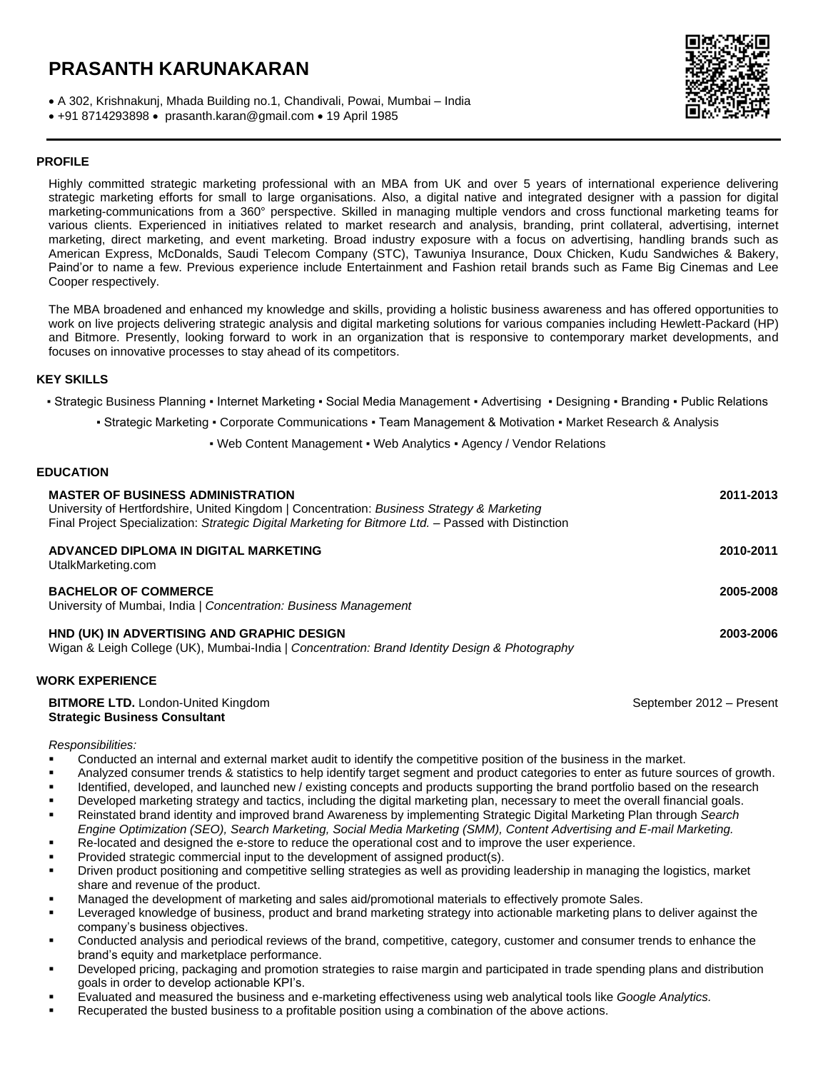# **PRASANTH KARUNAKARAN**

A 302, Krishnakunj, Mhada Building no.1, Chandivali, Powai, Mumbai – India

 $\bullet$  +91 8714293898  $\bullet$  [prasanth.karan@gmail.com](mailto:prasanth.karan@gmail.com)  $\bullet$  19 April 1985

## **PROFILE**

Highly committed strategic marketing professional with an MBA from UK and over 5 years of international experience delivering strategic marketing efforts for small to large organisations. Also, a digital native and integrated designer with a passion for digital marketing-communications from a 360° perspective. Skilled in managing multiple vendors and cross functional marketing teams for various clients. Experienced in initiatives related to market research and analysis, branding, print collateral, advertising, internet marketing, direct marketing, and event marketing. Broad industry exposure with a focus on advertising, handling brands such as American Express, McDonalds, Saudi Telecom Company (STC), Tawuniya Insurance, Doux Chicken, Kudu Sandwiches & Bakery, Paind'or to name a few. Previous experience include Entertainment and Fashion retail brands such as Fame Big Cinemas and Lee Cooper respectively.

The MBA broadened and enhanced my knowledge and skills, providing a holistic business awareness and has offered opportunities to work on live projects delivering strategic analysis and digital marketing solutions for various companies including Hewlett-Packard (HP) and Bitmore. Presently, looking forward to work in an organization that is responsive to contemporary market developments, and focuses on innovative processes to stay ahead of its competitors.

### **KEY SKILLS**

▪ Strategic Business Planning ▪ Internet Marketing ▪ Social Media Management ▪ Advertising ▪ Designing ▪ Branding ▪ Public Relations

▪ Strategic Marketing ▪ Corporate Communications ▪ Team Management & Motivation ▪ Market Research & Analysis

• Web Content Management • Web Analytics • Agency / Vendor Relations

#### **EDUCATION**

| <b>MASTER OF BUSINESS ADMINISTRATION</b><br>University of Hertfordshire, United Kingdom   Concentration: Business Strategy & Marketing<br>Final Project Specialization: Strategic Digital Marketing for Bitmore Ltd. - Passed with Distinction | 2011-2013 |
|------------------------------------------------------------------------------------------------------------------------------------------------------------------------------------------------------------------------------------------------|-----------|
| ADVANCED DIPLOMA IN DIGITAL MARKETING<br>UtalkMarketing.com                                                                                                                                                                                    | 2010-2011 |
| <b>BACHELOR OF COMMERCE</b><br>University of Mumbai, India   Concentration: Business Management                                                                                                                                                | 2005-2008 |
| HND (UK) IN ADVERTISING AND GRAPHIC DESIGN<br>Wigan & Leigh College (UK), Mumbai-India   Concentration: Brand Identity Design & Photography                                                                                                    | 2003-2006 |

#### **WORK EXPERIENCE**

| <b>BITMORE LTD.</b> London-United Kingdom | September 2012 - Present |
|-------------------------------------------|--------------------------|
| <b>Strategic Business Consultant</b>      |                          |

#### *Responsibilities:*

- Conducted an internal and external market audit to identify the competitive position of the business in the market.
- Analyzed consumer trends & statistics to help identify target segment and product categories to enter as future sources of growth.
- Identified, developed, and launched new / existing concepts and products supporting the brand portfolio based on the research
- Developed marketing strategy and tactics, including the digital marketing plan, necessary to meet the overall financial goals.
- Reinstated brand identity and improved brand Awareness by implementing Strategic Digital Marketing Plan through *Search Engine Optimization (SEO), Search Marketing, Social Media Marketing (SMM), Content Advertising and E-mail Marketing.*
- Re-located and designed the e-store to reduce the operational cost and to improve the user experience.
- Provided strategic commercial input to the development of assigned product(s).
- Driven product positioning and competitive selling strategies as well as providing leadership in managing the logistics, market share and revenue of the product.
- Managed the development of marketing and sales aid/promotional materials to effectively promote Sales.
- Leveraged knowledge of business, product and brand marketing strategy into actionable marketing plans to deliver against the company's business objectives.
- Conducted analysis and periodical reviews of the brand, competitive, category, customer and consumer trends to enhance the brand's equity and marketplace performance.
- Developed pricing, packaging and promotion strategies to raise margin and participated in trade spending plans and distribution goals in order to develop actionable KPI's.
- Evaluated and measured the business and e-marketing effectiveness using web analytical tools like *Google Analytics.*
- Recuperated the busted business to a profitable position using a combination of the above actions.